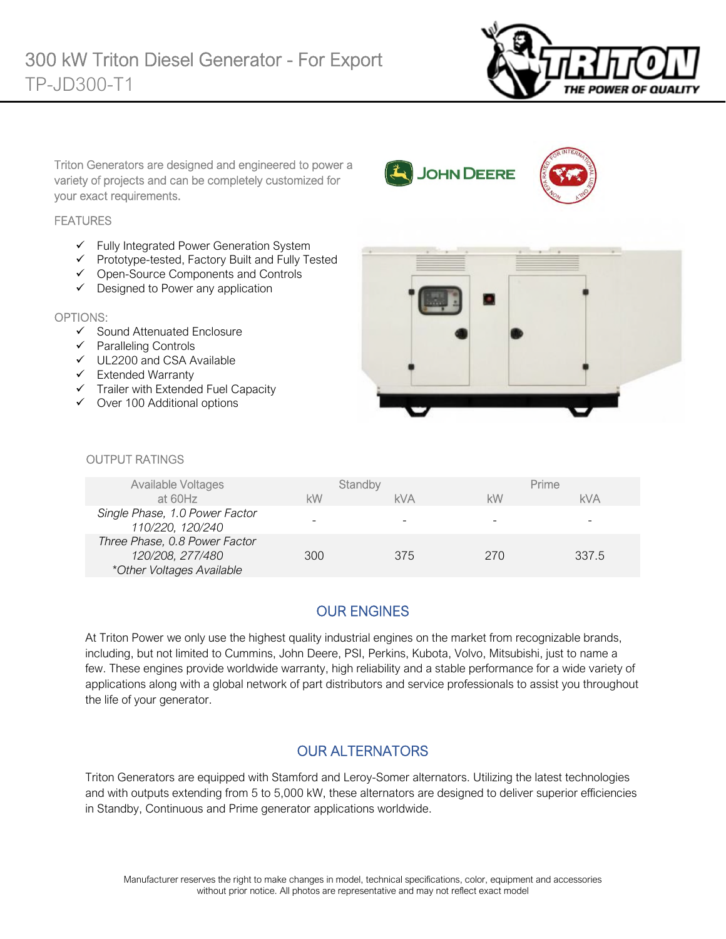

Triton Generators are designed and engineered to power a variety of projects and can be completely customized for your exact requirements.

### **FEATURES**

- $\checkmark$  Fully Integrated Power Generation System
- $\checkmark$  Prototype-tested, Factory Built and Fully Tested
- Open-Source Components and Controls
- $\checkmark$  Designed to Power any application

#### OPTIONS:

- $\checkmark$  Sound Attenuated Enclosure
- $\checkmark$  Paralleling Controls
- UL2200 and CSA Available
- $\checkmark$  Extended Warranty
- $\checkmark$  Trailer with Extended Fuel Capacity
- $\checkmark$  Over 100 Additional options



**JOHN DEERE** 

#### *<u>OUTPUT RATINGS</u>*

| Available Voltages<br>at 60Hz                                                  | kW  | Standby<br><b>kVA</b> | kW  | Prime<br>kVA |
|--------------------------------------------------------------------------------|-----|-----------------------|-----|--------------|
| Single Phase, 1.0 Power Factor<br>110/220, 120/240                             |     |                       |     |              |
| Three Phase, 0.8 Power Factor<br>120/208, 277/480<br>*Other Voltages Available | 300 | 375                   | 270 | 337.5        |

# OUR ENGINES

At Triton Power we only use the highest quality industrial engines on the market from recognizable brands, including, but not limited to Cummins, John Deere, PSI, Perkins, Kubota, Volvo, Mitsubishi, just to name a few. These engines provide worldwide warranty, high reliability and a stable performance for a wide variety of applications along with a global network of part distributors and service professionals to assist you throughout the life of your generator.

# OUR ALTERNATORS

Triton Generators are equipped with Stamford and Leroy-Somer alternators. Utilizing the latest technologies and with outputs extending from 5 to 5,000 kW, these alternators are designed to deliver superior efficiencies in Standby, Continuous and Prime generator applications worldwide.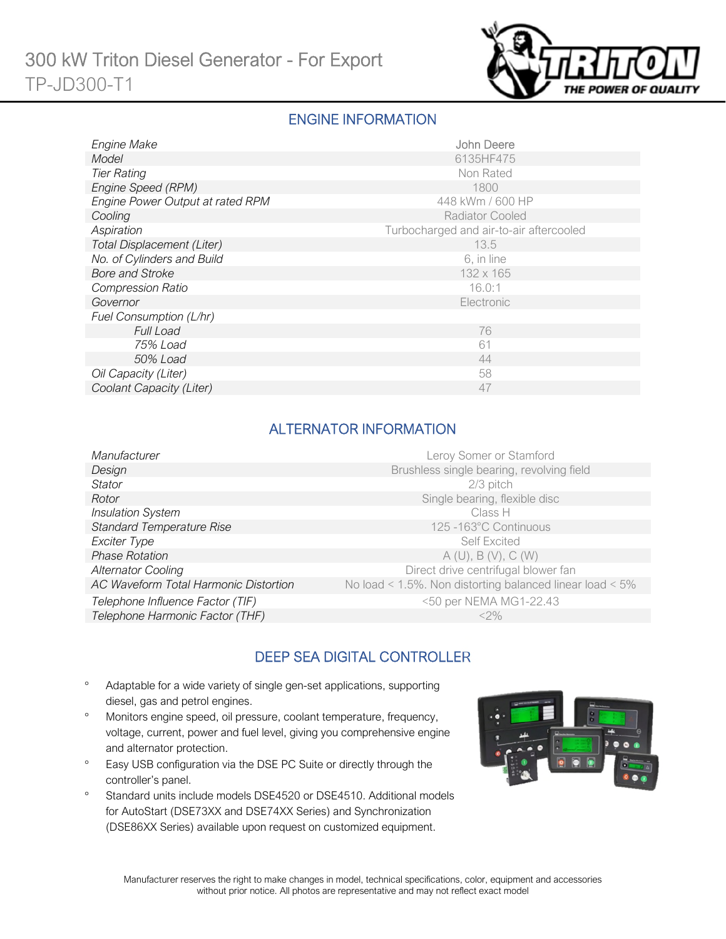

### ENGINE INFORMATION

| Engine Make                      | John Deere                              |
|----------------------------------|-----------------------------------------|
| Model                            | 6135HF475                               |
| <b>Tier Rating</b>               | Non Rated                               |
| Engine Speed (RPM)               | 1800                                    |
| Engine Power Output at rated RPM | 448 kWm / 600 HP                        |
| Cooling                          | <b>Radiator Cooled</b>                  |
| Aspiration                       | Turbocharged and air-to-air aftercooled |
| Total Displacement (Liter)       | 13.5                                    |
| No. of Cylinders and Build       | 6, in line                              |
| <b>Bore and Stroke</b>           | 132 x 165                               |
| <b>Compression Ratio</b>         | 16.0:1                                  |
| Governor                         | Electronic                              |
| Fuel Consumption (L/hr)          |                                         |
| <b>Full Load</b>                 | 76                                      |
| 75% Load                         | 61                                      |
| 50% Load                         | 44                                      |
| Oil Capacity (Liter)             | 58                                      |
| Coolant Capacity (Liter)         | 47                                      |

### ALTERNATOR INFORMATION

| Manufacturer                          | Leroy Somer or Stamford                                         |
|---------------------------------------|-----------------------------------------------------------------|
| Design                                | Brushless single bearing, revolving field                       |
| <b>Stator</b>                         | 2/3 pitch                                                       |
| Rotor                                 | Single bearing, flexible disc                                   |
| <b>Insulation System</b>              | Class H                                                         |
| <b>Standard Temperature Rise</b>      | 125-163°C Continuous                                            |
| Exciter Type                          | <b>Self Excited</b>                                             |
| <b>Phase Rotation</b>                 | A(U), B(V), C(W)                                                |
| <b>Alternator Cooling</b>             | Direct drive centrifugal blower fan                             |
| AC Waveform Total Harmonic Distortion | No load < $1.5\%$ . Non distorting balanced linear load < $5\%$ |
| Telephone Influence Factor (TIF)      | <50 per NEMA MG1-22.43                                          |
| Telephone Harmonic Factor (THF)       | $<$ 2%                                                          |

# DEEP SEA DIGITAL CONTROLLER

- Adaptable for a wide variety of single gen-set applications, supporting diesel, gas and petrol engines.
- Monitors engine speed, oil pressure, coolant temperature, frequency, voltage, current, power and fuel level, giving you comprehensive engine and alternator protection.
- <sup>o</sup> Easy USB configuration via the DSE PC Suite or directly through the controller's panel.
- <sup>o</sup> Standard units include models DSE4520 or DSE4510. Additional models for AutoStart (DSE73XX and DSE74XX Series) and Synchronization (DSE86XX Series) available upon request on customized equipment.

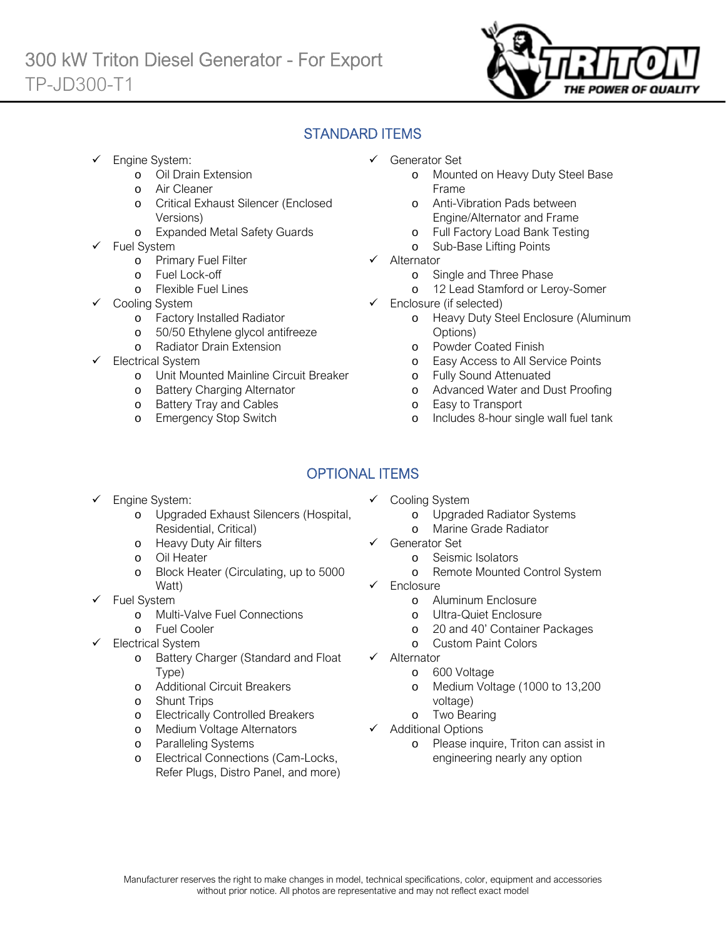

# STANDARD ITEMS

- Engine System:
	- o Oil Drain Extension
	- o Air Cleaner
	- o Critical Exhaust Silencer (Enclosed Versions)
	- o Expanded Metal Safety Guards
- Fuel System
	- o Primary Fuel Filter
	- o Fuel Lock-off
		- o Flexible Fuel Lines
	- Cooling System
		- o Factory Installed Radiator
		- o 50/50 Ethylene glycol antifreeze
		- o Radiator Drain Extension
- Electrical System
	- o Unit Mounted Mainline Circuit Breaker
	- o Battery Charging Alternator
	- o Battery Tray and Cables
	- o Emergency Stop Switch
- Generator Set
	- o Mounted on Heavy Duty Steel Base Frame
	- o Anti-Vibration Pads between Engine/Alternator and Frame
	- o Full Factory Load Bank Testing
	- o Sub-Base Lifting Points
- $\checkmark$  Alternator
	- o Single and Three Phase
	- o 12 Lead Stamford or Leroy-Somer
- $\checkmark$  Enclosure (if selected)
	- o Heavy Duty Steel Enclosure (Aluminum Options)
	- o Powder Coated Finish
	- o Easy Access to All Service Points
	- o Fully Sound Attenuated
	- o Advanced Water and Dust Proofing
	- o Easy to Transport
	- o Includes 8-hour single wall fuel tank

# OPTIONAL ITEMS

- Engine System:
	- o Upgraded Exhaust Silencers (Hospital, Residential, Critical)
	- o Heavy Duty Air filters
	- o Oil Heater
	- o Block Heater (Circulating, up to 5000 Watt)
- $\checkmark$  Fuel System
	- o Multi-Valve Fuel Connections
	- o Fuel Cooler
- Electrical System
	- o Battery Charger (Standard and Float Type)
	- o Additional Circuit Breakers
	- o Shunt Trips
	- o Electrically Controlled Breakers
	- o Medium Voltage Alternators
	- o Paralleling Systems
	- o Electrical Connections (Cam-Locks, Refer Plugs, Distro Panel, and more)
- Cooling System
	- o Upgraded Radiator Systems
	- o Marine Grade Radiator
- Generator Set
	- o Seismic Isolators
	- o Remote Mounted Control System
- Enclosure
	- o Aluminum Enclosure
	- o Ultra-Quiet Enclosure
	- o 20 and 40' Container Packages
	- o Custom Paint Colors
- $\checkmark$  Alternator
	- o 600 Voltage
	- o Medium Voltage (1000 to 13,200 voltage)
	- o Two Bearing
- $\checkmark$  Additional Options
	- o Please inquire, Triton can assist in engineering nearly any option